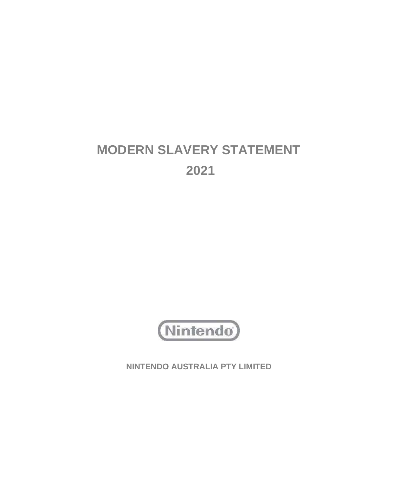# **MODERN SLAVERY STATEMENT 2021**



**NINTENDO AUSTRALIA PTY LIMITED**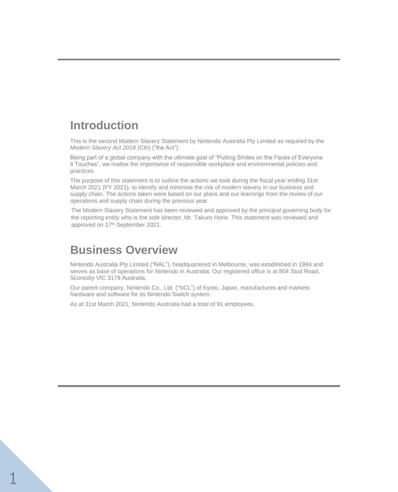# **Introduction**

This is the second Modern Slavery Statement by Nintendo Australia Pty Limited as required by the *Modern Slavery Act 2018* (Cth) ("the Act").

Being part of a global company with the ultimate goal of "Putting Smiles on the Faces of Everyone it Touches", we realise the importance of responsible workplace and environmental policies and practices.

The purpose of this statement is to outline the actions we took during the fiscal year ending 31st March 2021 (FY 2021), to identify and minimise the risk of modern slavery in our business and supply chain. The actions taken were based on our plans and our learnings from the review of our operations and supply chain during the previous year.

The Modern Slavery Statement has been reviewed and approved by the principal governing body for the reporting entity who is the sole director, Mr. Takuro Horie. This statement was reviewed and approved on 17<sup>th</sup> September 2021.

# **Business Overview**

Nintendo Australia Pty Limited ("NAL"), headquartered in Melbourne, was established in 1994 and serves as base of operations for Nintendo in Australia. Our registered office is at 804 Stud Road, Scoresby VIC 3179 Australia.

Our parent company, Nintendo Co., Ltd. ("NCL") of Kyoto, Japan, manufactures and markets hardware and software for its Nintendo Switch system.

As at 31st March 2021, Nintendo Australia had a total of 91 employees.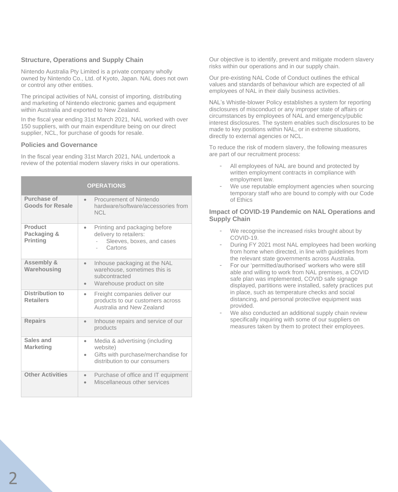# **Structure, Operations and Supply Chain**

Nintendo Australia Pty Limited is a private company wholly owned by Nintendo Co., Ltd. of Kyoto, Japan. NAL does not own or control any other entities.

The principal activities of NAL consist of importing, distributing and marketing of Nintendo electronic games and equipment within Australia and exported to New Zealand.

In the fiscal year ending 31st March 2021, NAL worked with over 150 suppliers, with our main expenditure being on our direct supplier, NCL, for purchase of goods for resale.

### **Policies and Governance**

In the fiscal year ending 31st March 2021, NAL undertook a review of the potential modern slavery risks in our operations.

| <b>OPERATIONS</b>                                |                                                                                                                                 |
|--------------------------------------------------|---------------------------------------------------------------------------------------------------------------------------------|
| Purchase of<br><b>Goods for Resale</b>           | Procurement of Nintendo<br>$\bullet$<br>hardware/software/accessories from<br><b>NCL</b>                                        |
| <b>Product</b><br>Packaging &<br><b>Printing</b> | Printing and packaging before<br>۰<br>delivery to retailers:<br>Sleeves, boxes, and cases<br>Cartons                            |
| <b>Assembly &amp;</b><br>Warehousing             | Inhouse packaging at the NAL<br>$\bullet$<br>warehouse, sometimes this is<br>subcontracted<br>Warehouse product on site         |
| <b>Distribution to</b><br><b>Retailers</b>       | Freight companies deliver our<br>$\bullet$<br>products to our customers across<br>Australia and New Zealand                     |
| <b>Repairs</b>                                   | Inhouse repairs and service of our<br>$\bullet$<br>products                                                                     |
| Sales and<br><b>Marketing</b>                    | Media & advertising (including<br>$\bullet$<br>website)<br>Gifts with purchase/merchandise for<br>distribution to our consumers |
| <b>Other Activities</b>                          | Purchase of office and IT equipment<br>$\bullet$<br>Miscellaneous other services                                                |

Our objective is to identify, prevent and mitigate modern slavery risks within our operations and in our supply chain.

Our pre-existing NAL Code of Conduct outlines the ethical values and standards of behaviour which are expected of all employees of NAL in their daily business activities.

NAL's Whistle-blower Policy establishes a system for reporting disclosures of misconduct or any improper state of affairs or circumstances by employees of NAL and emergency/public interest disclosures. The system enables such disclosures to be made to key positions within NAL, or in extreme situations, directly to external agencies or NCL.

To reduce the risk of modern slavery, the following measures are part of our recruitment process:

- All employees of NAL are bound and protected by written employment contracts in compliance with employment law.
- We use reputable employment agencies when sourcing temporary staff who are bound to comply with our Code of Ethics

# **Impact of COVID-19 Pandemic on NAL Operations and Supply Chain**

- We recognise the increased risks brought about by COVID-19.
- During FY 2021 most NAL employees had been working from home when directed, in line with guidelines from the relevant state governments across Australia.
- For our 'permitted/authorised' workers who were still able and willing to work from NAL premises, a COVID safe plan was implemented, COVID safe signage displayed, partitions were installed, safety practices put in place, such as temperature checks and social distancing, and personal protective equipment was provided.
- We also conducted an additional supply chain review specifically inquiring with some of our suppliers on measures taken by them to protect their employees.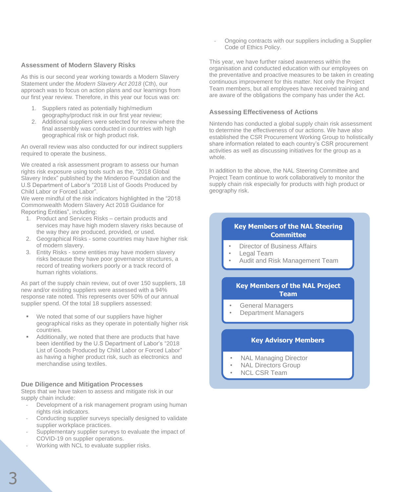#### **Assessment of Modern Slavery Risks**

As this is our second year working towards a Modern Slavery Statement under the *Modern Slavery Act 2018* (Cth), our approach was to focus on action plans and our learnings from our first year review. Therefore, in this year our focus was on:

- 1. Suppliers rated as potentially high/medium geography/product risk in our first year review;
- 2. Additional suppliers were selected for review where the final assembly was conducted in countries with high geographical risk or high product risk.

An overall review was also conducted for our indirect suppliers required to operate the business.

We created a risk assessment program to assess our human rights risk exposure using tools such as the, "2018 Global Slavery Index" published by the Minderoo Foundation and the U.S Department of Labor's "2018 List of Goods Produced by Child Labor or Forced Labor".

We were mindful of the risk indicators highlighted in the "2018 Commonwealth Modern Slavery Act 2018 Guidance for Reporting Entities", including:

- 1. Product and Services Risks certain products and services may have high modern slavery risks because of the way they are produced, provided, or used.
- 2. Geographical Risks some countries may have higher risk of modern slavery.
- 3. Entity Risks some entities may have modern slavery risks because they have poor governance structures, a record of treating workers poorly or a track record of human rights violations.

As part of the supply chain review, out of over 150 suppliers, 18 new and/or existing suppliers were assessed with a 94% response rate noted. This represents over 50% of our annual supplier spend. Of the total 18 suppliers assessed:

- We noted that some of our suppliers have higher geographical risks as they operate in potentially higher risk countries.
- Additionally, we noted that there are products that have been identified by the U.S Department of Labor's "2018 List of Goods Produced by Child Labor or Forced Labor" as having a higher product risk, such as electronics and merchandise using textiles.

#### **Due Diligence and Mitigation Processes**

Steps that we have taken to assess and mitigate risk in our supply chain include:

- Development of a risk management program using human rights risk indicators.
- Conducting supplier surveys specially designed to validate supplier workplace practices.
- Supplementary supplier surveys to evaluate the impact of COVID-19 on supplier operations.
- Working with NCL to evaluate supplier risks.

- Ongoing contracts with our suppliers including a Supplier Code of Ethics Policy.

This year, we have further raised awareness within the organisation and conducted education with our employees on the preventative and proactive measures to be taken in creating continuous improvement for this matter. Not only the Project Team members, but all employees have received training and are aware of the obligations the company has under the Act.

### **Assessing Effectiveness of Actions**

Nintendo has conducted a global supply chain risk assessment to determine the effectiveness of our actions. We have also established the CSR Procurement Working Group to holistically share information related to each country's CSR procurement activities as well as discussing initiatives for the group as a whole.

In addition to the above, the NAL Steering Committee and Project Team continue to work collaboratively to monitor the supply chain risk especially for products with high product or geography risk.

# **Key Members of the NAL Steering Committee**

- **Director of Business Affairs**
- Legal Team
- Audit and Risk Management Team

# **Key Members of the NAL Project Team**

- General Managers
- Department Managers

### **Key Advisory Members**

- NAL Managing Director
- **NAL Directors Group**
- NCL CSR Team